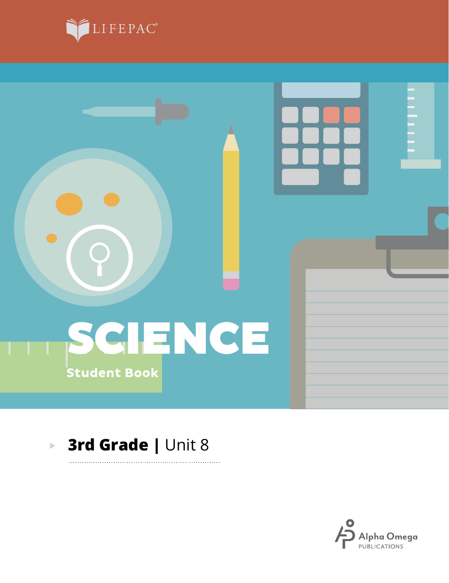



### **3rd Grade |** Unit 8 $\blacktriangleright$

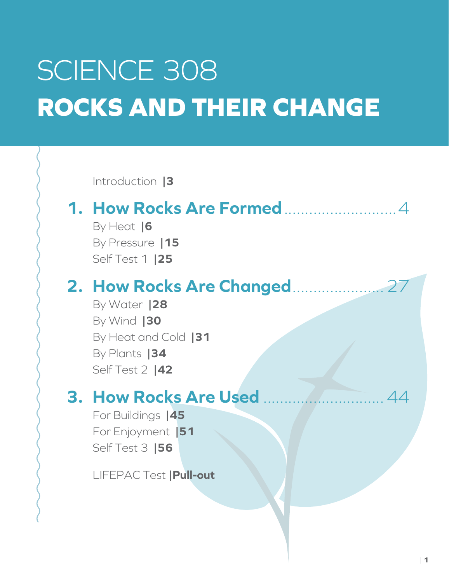# SCIENCE 308 **ROCKS AND THEIR CHANGE**

Introduction **|3**

### **1. How Rocks Are Formed**...........................4

By Heat **|6** By Pressure **|15** Self Test 1 **|25**

### **2. How Rocks Are Changed**......................27

By Water **|28** By Wind **|30** By Heat and Cold **|31** By Plants **|34** Self Test 2 **|42**

### **3. How Rocks Are Used** .............................44

For Buildings **|45** For Enjoyment **|51** Self Test 3 **|56**

LIFEPAC Test **|Pull-out**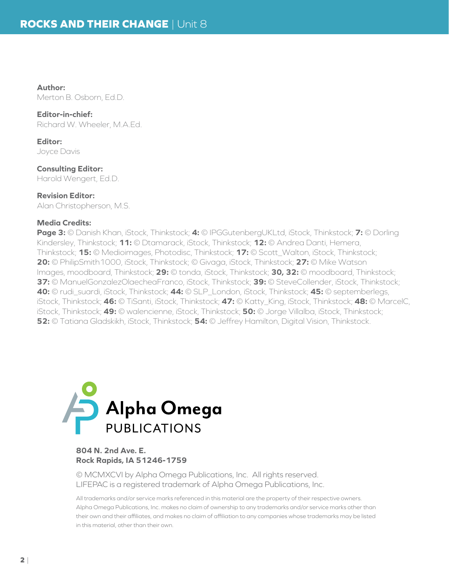**Author:**

Merton B. Osborn, Ed.D.

**Editor-in-chief:**

Richard W. Wheeler, M.A.Ed.

**Editor:** Joyce Davis

**Consulting Editor:** Harold Wengert, Ed.D.

**Revision Editor:** Alan Christopherson, M.S.

### **Media Credits:**

**Page 3:** © Danish Khan, iStock, Thinkstock; **4:** © IPGGutenbergUKLtd, iStock, Thinkstock; **7:** © Dorling Kindersley, Thinkstock; **11:** © Dtamarack, iStock, Thinkstock; **12:** © Andrea Danti, Hemera, Thinkstock; **15:** © Medioimages, Photodisc, Thinkstock; **17:** © Scott\_Walton, iStock, Thinkstock; **20:** © PhilipSmith1000, iStock, Thinkstock; © Givaga, iStock, Thinkstock; **27:** © Mike Watson Images, moodboard, Thinkstock; **29:** © tonda, iStock, Thinkstock; **30, 32:** © moodboard, Thinkstock; **37:** © ManuelGonzalezOlaecheaFranco, iStock, Thinkstock; **39:** © SteveCollender, iStock, Thinkstock; **40:** © rudi\_suardi, iStock, Thinkstock; **44:** © SLP\_London, iStock, Thinkstock; **45:** © septemberlegs, iStock, Thinkstock; **46:** © TiSanti, iStock, Thinkstock; **47:** © Katty\_King, iStock, Thinkstock; **48:** © MarcelC, iStock, Thinkstock; **49:** © walencienne, iStock, Thinkstock; **50:** © Jorge Villalba, iStock, Thinkstock; **52:** © Tatiana Gladskikh, iStock, Thinkstock; **54:** © Jeffrey Hamilton, Digital Vision, Thinkstock.



#### **804 N. 2nd Ave. E. Rock Rapids, IA 51246-1759**

© MCMXCVI by Alpha Omega Publications, Inc. All rights reserved. LIFEPAC is a registered trademark of Alpha Omega Publications, Inc.

All trademarks and/or service marks referenced in this material are the property of their respective owners. Alpha Omega Publications, Inc. makes no claim of ownership to any trademarks and/or service marks other than their own and their affiliates, and makes no claim of affiliation to any companies whose trademarks may be listed in this material, other than their own.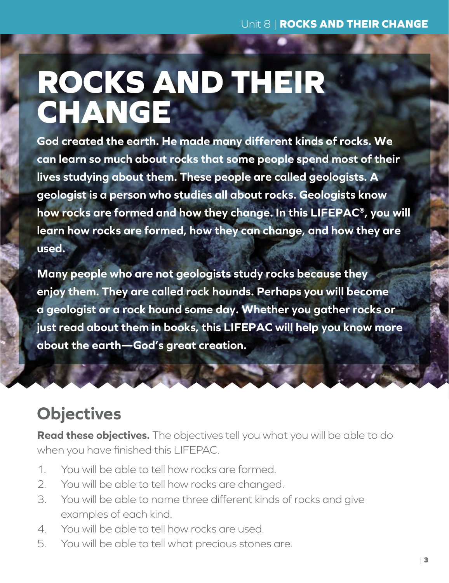# **ROCKS AND THEIR CHANGE**

**God created the earth. He made many different kinds of rocks. We can learn so much about rocks that some people spend most of their lives studying about them. These people are called geologists. A geologist is a person who studies all about rocks. Geologists know how rocks are formed and how they change. In this LIFEPAC®, you will learn how rocks are formed, how they can change, and how they are used.**

**Many people who are not geologists study rocks because they enjoy them. They are called rock hounds. Perhaps you will become a geologist or a rock hound some day. Whether you gather rocks or just read about them in books, this LIFEPAC will help you know more about the earth—God's great creation.**

## **Objectives**

**Read these objectives.** The objectives tell you what you will be able to do when you have finished this LIFEPAC.

- 1. You will be able to tell how rocks are formed.
- 2. You will be able to tell how rocks are changed.
- 3. You will be able to name three different kinds of rocks and give examples of each kind.
- 4. You will be able to tell how rocks are used.
- 5. You will be able to tell what precious stones are.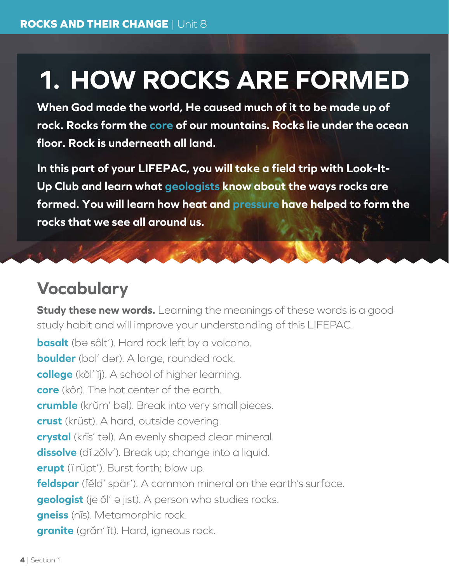## **1. HOW ROCKS ARE FORMED**

**When God made the world, He caused much of it to be made up of rock. Rocks form the core of our mountains. Rocks lie under the ocean floor. Rock is underneath all land.** 

**In this part of your LIFEPAC, you will take a field trip with Look-It-Up Club and learn what geologists know about the ways rocks are formed. You will learn how heat and pressure have helped to form the rocks that we see all around us.**

### **Vocabulary**

**Study these new words.** Learning the meanings of these words is a good study habit and will improve your understanding of this LIFEPAC.

**basalt** (bə sôlt'). Hard rock left by a volcano. **boulder** (bōl' dar). A large, rounded rock. **college** (kŏl' ĭj). A school of higher learning. **core** (kôr). The hot center of the earth. crumble (krŭm' bal). Break into very small pieces. **crust** (krŭst). A hard, outside covering. crystal (krĭs' tal). An evenly shaped clear mineral. **dissolve** (dĭ zŏlv'). Break up; change into a liquid. **erupt** (ĭ rŭpt'). Burst forth; blow up. **feldspar** (fĕld' spär'). A common mineral on the earth's surface. **geologist** (jē ŏl' <sup>e</sup> jist). A person who studies rocks. **gneiss** (nīs). Metamorphic rock. **granite** (grăn' ĭt). Hard, igneous rock.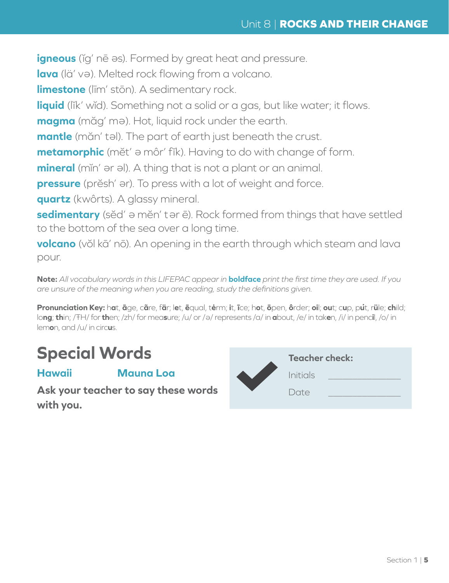**igneous** (ĭg' nē əs). Formed by great heat and pressure.

lava (lä' və). Melted rock flowing from a volcano.

**limestone** (līm' stōn). A sedimentary rock.

**liquid** (lĭk' wĭd). Something not a solid or a gas, but like water; it flows.

**magma** (măg' m <sup>e</sup> ). Hot, liquid rock under the earth.

mantle (măn' tal). The part of earth just beneath the crust.

**metamorphic** (mĕt' <sup>e</sup> môr' fĭk). Having to do with change of form.

mineral (min' ər əl). A thing that is not a plant or an animal.

**pressure** (prĕsh' ar). To press with a lot of weight and force.

**quartz** (kwôrts). A glassy mineral.

sedimentary (sĕd' ə mĕn' tər ē). Rock formed from things that have settled to the bottom of the sea over a long time.

**volcano** (vŏl kā' nō). An opening in the earth through which steam and lava pour.

**Note:** *All vocabulary words in this LIFEPAC appear in* **boldface** *print the first time they are used. If you are unsure of the meaning when you are reading, study the definitions given.*

Pronunciation Key: hat, āge, cāre, fär; let, ēqual, tėrm; it, īce; hot, ōpen, ôrder; oil; out; cup, put, rüle; child; lo**ng**; **th**in; /ŦH/ for **th**en; /zh/ for mea**s**ure; /u/ or / <sup>e</sup> / represents /a/ in **a**bout, /e/ in tak**e**n, /i/ in penc**i**l, /o/ in lem**o**n, and /u/ in circ**u**s.

## **Special Words**

**Hawaii Mauna Loa**

**Ask your teacher to say these words with you.**

| <b>Teacher check:</b> |  |
|-----------------------|--|
| Initials              |  |
| Date                  |  |
|                       |  |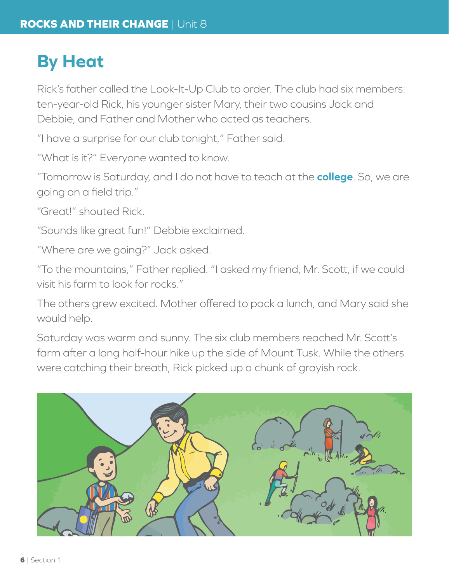## **By Heat**

Rick's father called the Look-It-Up Club to order. The club had six members: ten-year-old Rick, his younger sister Mary, their two cousins Jack and Debbie, and Father and Mother who acted as teachers.

"I have a surprise for our club tonight," Father said.

"What is it?" Everyone wanted to know.

"Tomorrow is Saturday, and I do not have to teach at the **college**. So, we are going on a field trip."

"Great!" shouted Rick.

"Sounds like great fun!" Debbie exclaimed.

"Where are we going?" Jack asked.

"To the mountains," Father replied. "I asked my friend, Mr. Scott, if we could visit his farm to look for rocks."

The others grew excited. Mother offered to pack a lunch, and Mary said she would help.

Saturday was warm and sunny. The six club members reached Mr. Scott's farm after a long half-hour hike up the side of Mount Tusk. While the others were catching their breath, Rick picked up a chunk of grayish rock.

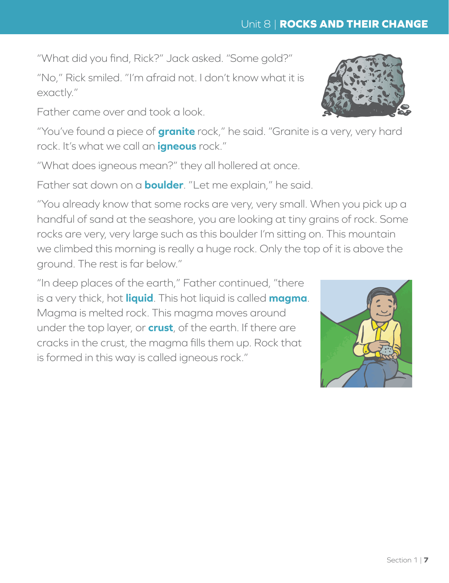"What did you find, Rick?" Jack asked. "Some gold?"

"No," Rick smiled. "I'm afraid not. I don't know what it is exactly."

Father came over and took a look.

"You've found a piece of **granite** rock," he said. "Granite is a very, very hard rock. It's what we call an **igneous** rock."

"What does igneous mean?" they all hollered at once.

Father sat down on a **boulder**. "Let me explain," he said.

"You already know that some rocks are very, very small. When you pick up a handful of sand at the seashore, you are looking at tiny grains of rock. Some rocks are very, very large such as this boulder I'm sitting on. This mountain we climbed this morning is really a huge rock. Only the top of it is above the ground. The rest is far below."

"In deep places of the earth," Father continued, "there is a very thick, hot **liquid**. This hot liquid is called **magma**. Magma is melted rock. This magma moves around under the top layer, or **crust**, of the earth. If there are cracks in the crust, the magma fills them up. Rock that is formed in this way is called igneous rock."



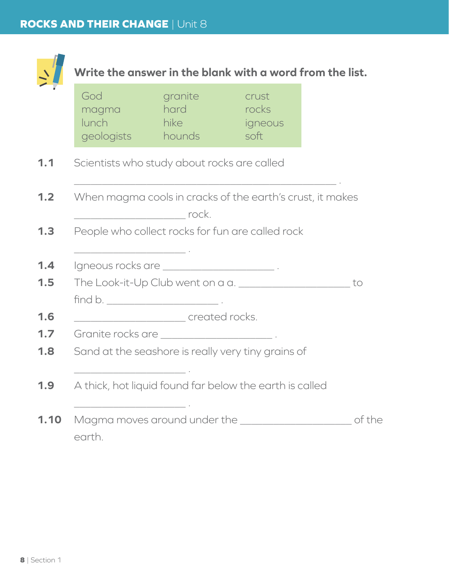

# **Write the answer in the blank with a word from the list.**

| God            | granite                                                    | crust                                                                  |    |
|----------------|------------------------------------------------------------|------------------------------------------------------------------------|----|
| magma<br>lunch | hard<br>hike <b>hike</b>                                   | rocks                                                                  |    |
| geologists     | hounds                                                     | igneous<br>soft                                                        |    |
|                |                                                            |                                                                        |    |
|                | Scientists who study about rocks are called                |                                                                        |    |
|                |                                                            |                                                                        |    |
|                |                                                            | When magma cools in cracks of the earth's crust, it makes              |    |
|                |                                                            |                                                                        |    |
|                | People who collect rocks for fun are called rock           |                                                                        |    |
|                | <u> 1989 - Johann John Stone, fransk politik (d. 1989)</u> |                                                                        |    |
|                | Igneous rocks are ________________________________.        |                                                                        |    |
|                |                                                            | The Look-it-Up Club went on a a.                                       | to |
|                |                                                            |                                                                        |    |
|                | created rocks.                                             |                                                                        |    |
|                | Granite rocks are _________________________.               |                                                                        |    |
|                |                                                            | Sand at the seashore is really very tiny grains of                     |    |
|                |                                                            |                                                                        |    |
|                |                                                            | A thick, hot liquid found far below the earth is called                |    |
|                |                                                            |                                                                        |    |
|                |                                                            | Magma moves around under the __________________________________ of the |    |
|                |                                                            |                                                                        |    |
| earth.         |                                                            |                                                                        |    |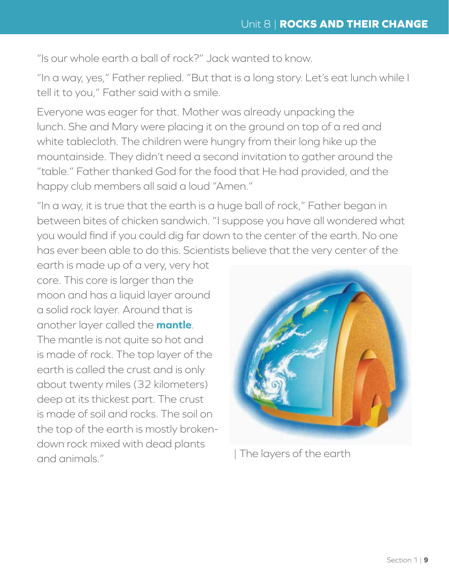"Is our whole earth a ball of rock?" Jack wanted to know.

"In a way, yes," Father replied. "But that is a long story. Let's eat lunch while I tell it to you," Father said with a smile.

Everyone was eager for that. Mother was already unpacking the lunch. She and Mary were placing it on the ground on top of a red and white tablecloth. The children were hungry from their long hike up the mountainside. They didn't need a second invitation to gather around the "table." Father thanked God for the food that He had provided, and the happy club members all said a loud "Amen."

"In a way, it is true that the earth is a huge ball of rock," Father began in between bites of chicken sandwich. "I suppose you have all wondered what you would find if you could dig far down to the center of the earth. No one has ever been able to do this. Scientists believe that the very center of the

earth is made up of a very, very hot core. This core is larger than the moon and has a liquid layer around a solid rock layer. Around that is another layer called the **mantle**. The mantle is not quite so hot and is made of rock. The top layer of the earth is called the crust and is only about twenty miles (32 kilometers) deep at its thickest part. The crust is made of soil and rocks. The soil on the top of the earth is mostly brokendown rock mixed with dead plants and animals." 
<br>  $|$  The layers of the earth

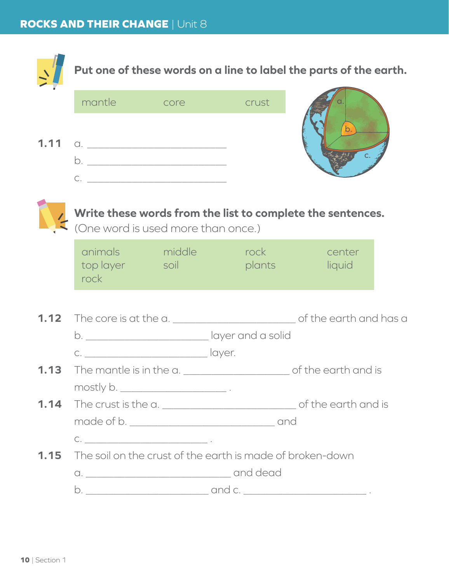|      | Put one of these words on a line to label the parts of the earth.                                                                                                                                                                                                                                                                                   |                                        |                                                           |                                                            |  |  |
|------|-----------------------------------------------------------------------------------------------------------------------------------------------------------------------------------------------------------------------------------------------------------------------------------------------------------------------------------------------------|----------------------------------------|-----------------------------------------------------------|------------------------------------------------------------|--|--|
|      | mantle                                                                                                                                                                                                                                                                                                                                              | <b>COLLEGE COLLEGE COLLEGE COLLEGE</b> | crust                                                     |                                                            |  |  |
|      |                                                                                                                                                                                                                                                                                                                                                     |                                        |                                                           |                                                            |  |  |
|      | <b>1.11</b> $\alpha$ .                                                                                                                                                                                                                                                                                                                              |                                        |                                                           |                                                            |  |  |
|      |                                                                                                                                                                                                                                                                                                                                                     |                                        |                                                           |                                                            |  |  |
|      |                                                                                                                                                                                                                                                                                                                                                     |                                        |                                                           |                                                            |  |  |
|      |                                                                                                                                                                                                                                                                                                                                                     |                                        |                                                           |                                                            |  |  |
|      | (One word is used more than once.)                                                                                                                                                                                                                                                                                                                  |                                        |                                                           | Write these words from the list to complete the sentences. |  |  |
|      |                                                                                                                                                                                                                                                                                                                                                     |                                        |                                                           |                                                            |  |  |
|      | top layer and soil and the state of the state of the state of the state of the state of the state of the state                                                                                                                                                                                                                                      |                                        | animals middle rock center                                | plants liquid                                              |  |  |
|      | rock                                                                                                                                                                                                                                                                                                                                                |                                        |                                                           |                                                            |  |  |
|      |                                                                                                                                                                                                                                                                                                                                                     |                                        |                                                           |                                                            |  |  |
| 1.12 |                                                                                                                                                                                                                                                                                                                                                     |                                        |                                                           |                                                            |  |  |
|      |                                                                                                                                                                                                                                                                                                                                                     |                                        | b. ________________________________ layer and a solid     |                                                            |  |  |
|      | c. __________________________________ layer.                                                                                                                                                                                                                                                                                                        |                                        |                                                           |                                                            |  |  |
|      |                                                                                                                                                                                                                                                                                                                                                     |                                        |                                                           |                                                            |  |  |
|      | mostly b. _________________________.                                                                                                                                                                                                                                                                                                                |                                        |                                                           |                                                            |  |  |
|      |                                                                                                                                                                                                                                                                                                                                                     |                                        |                                                           |                                                            |  |  |
|      |                                                                                                                                                                                                                                                                                                                                                     |                                        |                                                           |                                                            |  |  |
|      | $\begin{picture}(150,10) \put(0,0){\line(1,0){10}} \put(15,0){\line(1,0){10}} \put(15,0){\line(1,0){10}} \put(15,0){\line(1,0){10}} \put(15,0){\line(1,0){10}} \put(15,0){\line(1,0){10}} \put(15,0){\line(1,0){10}} \put(15,0){\line(1,0){10}} \put(15,0){\line(1,0){10}} \put(15,0){\line(1,0){10}} \put(15,0){\line(1,0){10}} \put(15,0){\line($ |                                        |                                                           |                                                            |  |  |
| 1.15 |                                                                                                                                                                                                                                                                                                                                                     |                                        | The soil on the crust of the earth is made of broken-down |                                                            |  |  |
|      |                                                                                                                                                                                                                                                                                                                                                     |                                        |                                                           |                                                            |  |  |
|      |                                                                                                                                                                                                                                                                                                                                                     |                                        |                                                           |                                                            |  |  |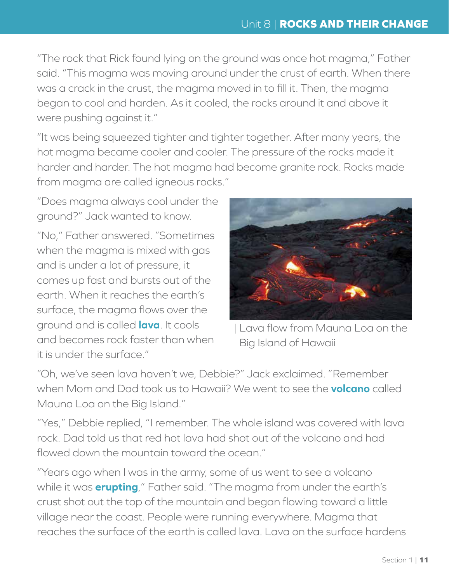"The rock that Rick found lying on the ground was once hot magma," Father said. "This magma was moving around under the crust of earth. When there was a crack in the crust, the magma moved in to fill it. Then, the magma began to cool and harden. As it cooled, the rocks around it and above it were pushing against it."

"It was being squeezed tighter and tighter together. After many years, the hot magma became cooler and cooler. The pressure of the rocks made it harder and harder. The hot magma had become granite rock. Rocks made from magma are called igneous rocks."

"Does magma always cool under the ground?" Jack wanted to know.

"No," Father answered. "Sometimes when the magma is mixed with gas and is under a lot of pressure, it comes up fast and bursts out of the earth. When it reaches the earth's surface, the magma flows over the ground and is called **lava**. It cools and becomes rock faster than when it is under the surface."



| Lava flow from Mauna Loa on the Big Island of Hawaii

"Oh, we've seen lava haven't we, Debbie?" Jack exclaimed. "Remember when Mom and Dad took us to Hawaii? We went to see the **volcano** called Mauna Loa on the Big Island."

"Yes," Debbie replied, "I remember. The whole island was covered with lava rock. Dad told us that red hot lava had shot out of the volcano and had flowed down the mountain toward the ocean."

"Years ago when I was in the army, some of us went to see a volcano while it was **erupting**," Father said. "The magma from under the earth's crust shot out the top of the mountain and began flowing toward a little village near the coast. People were running everywhere. Magma that reaches the surface of the earth is called lava. Lava on the surface hardens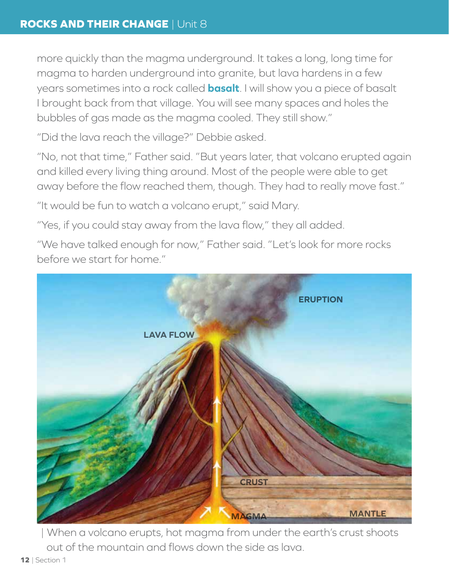more quickly than the magma underground. It takes a long, long time for magma to harden underground into granite, but lava hardens in a few years sometimes into a rock called **basalt**. I will show you a piece of basalt I brought back from that village. You will see many spaces and holes the bubbles of gas made as the magma cooled. They still show."

"Did the lava reach the village?" Debbie asked.

"No, not that time," Father said. "But years later, that volcano erupted again and killed every living thing around. Most of the people were able to get away before the flow reached them, though. They had to really move fast."

"It would be fun to watch a volcano erupt," said Mary.

"Yes, if you could stay away from the lava flow," they all added.

"We have talked enough for now," Father said. "Let's look for more rocks before we start for home."



| When a volcano erupts, hot magma from under the earth's crust shoots out of the mountain and flows down the side as lava.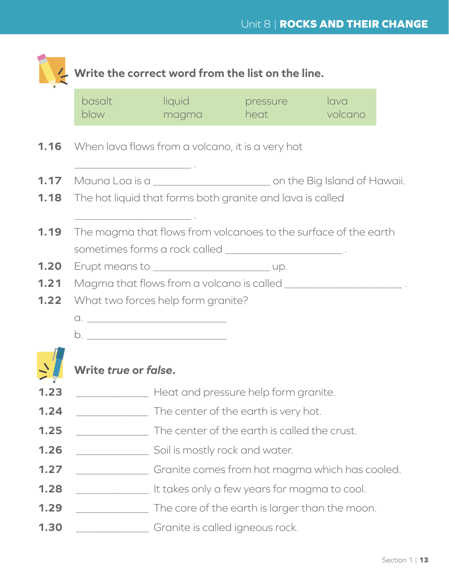|                                                      | Write the correct word from the list on the line.                  |                                                                                                                                         |                                                |                 |  |
|------------------------------------------------------|--------------------------------------------------------------------|-----------------------------------------------------------------------------------------------------------------------------------------|------------------------------------------------|-----------------|--|
|                                                      | basalt<br>blow                                                     | liquid<br>magma                                                                                                                         | pressure<br>heat a controller                  | lava<br>volcano |  |
|                                                      |                                                                    | <b>1.16</b> When lava flows from a volcano, it is a very hot<br><u> 1986 - Johann Stoff, Amerikaansk politiker (</u>                    |                                                |                 |  |
| 1.18                                                 |                                                                    | The hot liquid that forms both granite and lava is called<br>the control of the control of the control of the control of the control of |                                                |                 |  |
| 1.19                                                 |                                                                    | The magma that flows from volcanoes to the surface of the earth<br>sometimes forms a rock called ______________________________.        |                                                |                 |  |
| 1,20                                                 |                                                                    |                                                                                                                                         |                                                |                 |  |
|                                                      | Magma that flows from a volcano is called ________________________ |                                                                                                                                         |                                                |                 |  |
|                                                      |                                                                    |                                                                                                                                         |                                                |                 |  |
|                                                      |                                                                    | What two forces help form granite?                                                                                                      |                                                |                 |  |
|                                                      |                                                                    |                                                                                                                                         |                                                |                 |  |
|                                                      |                                                                    |                                                                                                                                         |                                                |                 |  |
|                                                      | .<br>Write <i>true</i> or <i>false</i> .                           |                                                                                                                                         |                                                |                 |  |
|                                                      |                                                                    |                                                                                                                                         | Heat and pressure help form granite.           |                 |  |
|                                                      |                                                                    |                                                                                                                                         | The center of the earth is very hot.           |                 |  |
|                                                      |                                                                    |                                                                                                                                         | The center of the earth is called the crust.   |                 |  |
|                                                      |                                                                    | Soil is mostly rock and water.                                                                                                          |                                                |                 |  |
| 1.21<br>1.22<br>1.23<br>1.24<br>1.25<br>1.26<br>1.27 |                                                                    |                                                                                                                                         | Granite comes from hot magma which has cooled. |                 |  |
| 1.28                                                 |                                                                    |                                                                                                                                         | It takes only a few years for magma to cool.   |                 |  |
| 1.29                                                 |                                                                    |                                                                                                                                         | The core of the earth is larger than the moon. |                 |  |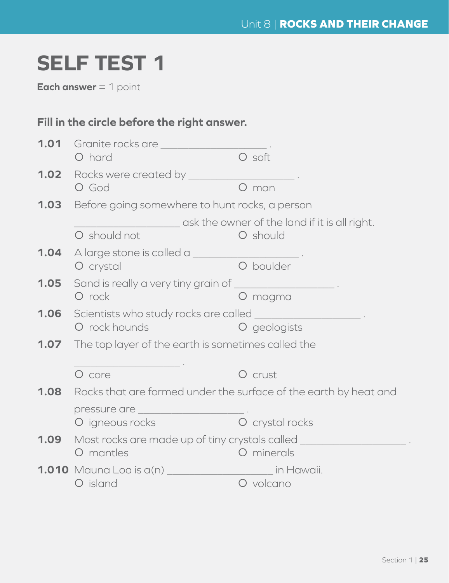## **SELF TEST 1**

**Each answer** = 1 point

### **Fill in the circle before the right answer.**

|      | 1.01 Granite rocks are ______________                                                  |                                               |  |  |  |
|------|----------------------------------------------------------------------------------------|-----------------------------------------------|--|--|--|
|      | O hard                                                                                 | O soft                                        |  |  |  |
|      | <b>1.02</b> Rocks were created by ________                                             |                                               |  |  |  |
|      | O God                                                                                  | O man                                         |  |  |  |
|      | <b>1.03</b> Before going somewhere to hunt rocks, a person                             |                                               |  |  |  |
|      |                                                                                        | ask the owner of the land if it is all right. |  |  |  |
|      | O should not                                                                           | O should                                      |  |  |  |
|      |                                                                                        |                                               |  |  |  |
|      | O crystal                                                                              | O boulder                                     |  |  |  |
| 1.05 | Sand is really a very tiny grain of _________________________.                         |                                               |  |  |  |
|      | O rock                                                                                 | O magma                                       |  |  |  |
|      | <b>1.06</b> Scientists who study rocks are called _________________________.           |                                               |  |  |  |
|      | O rock hounds                                                                          | O geologists                                  |  |  |  |
|      | <b>1.07</b> The top layer of the earth is sometimes called the                         |                                               |  |  |  |
|      |                                                                                        |                                               |  |  |  |
|      | O core                                                                                 | O crust                                       |  |  |  |
|      | <b>1.08</b> Rocks that are formed under the surface of the earth by heat and           |                                               |  |  |  |
|      |                                                                                        |                                               |  |  |  |
|      | O igneous rocks                                                                        | O crystal rocks                               |  |  |  |
|      | <b>1.09</b> Most rocks are made up of tiny crystals called ___________________________ |                                               |  |  |  |
|      | O mantles                                                                              | O minerals                                    |  |  |  |
|      | <b>1.010</b> Mauna Loa is a(n) ___________________________ in Hawaii.                  |                                               |  |  |  |
|      | O island                                                                               | O volcano                                     |  |  |  |
|      |                                                                                        |                                               |  |  |  |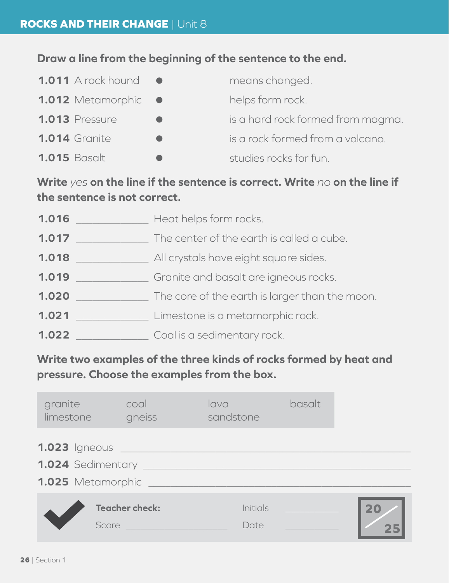### **Draw a line from the beginning of the sentence to the end.**

| <b>1.011</b> A rock hound | means changed.                    |
|---------------------------|-----------------------------------|
| 1.012 Metamorphic •       | helps form rock.                  |
| <b>1.013</b> Pressure     | is a hard rock formed from magma. |
| <b>1.014 Granite</b>      | is a rock formed from a volcano.  |
| <b>1.015 Basalt</b>       | studies rocks for fun.            |

**Write** *yes* **on the line if the sentence is correct. Write** *no* **on the line if the sentence is not correct.**

| 1.016 | Heat helps form rocks.                         |
|-------|------------------------------------------------|
| 1.017 | The center of the earth is called a cube.      |
| 1.018 | All crystals have eight square sides.          |
| 1.019 | Granite and basalt are igneous rocks.          |
| 1.020 | The core of the earth is larger than the moon. |
| 1.021 | Limestone is a metamorphic rock.               |
| 1.022 | Coal is a sedimentary rock.                    |

**Write two examples of the three kinds of rocks formed by heat and pressure. Choose the examples from the box.**

| granite<br>limestone                                                                 | coal<br>gneiss        | lava<br>sandstone       | basalt                |    |
|--------------------------------------------------------------------------------------|-----------------------|-------------------------|-----------------------|----|
| <b>1.023</b> Igneous ______<br>1.024 Sedimentary _______<br>1.025 Metamorphic ______ |                       |                         |                       |    |
| Score                                                                                | <b>Teacher check:</b> | <b>Initials</b><br>Date | <u> André de la p</u> | 20 |